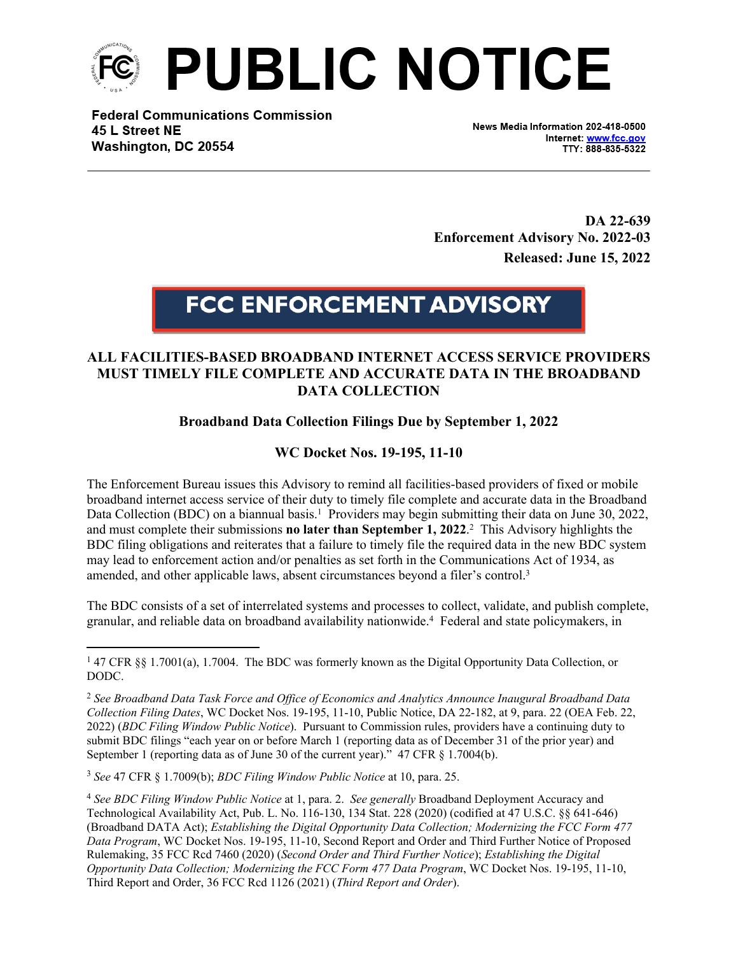

**Federal Communications Commission** 45 L Street NE Washington, DC 20554

News Media Information 202-418-0500 Internet: www.fcc.gov TTY: 888-835-5322

**DA 22-639 Enforcement Advisory No. 2022-03 Released: June 15, 2022**

## **FCC ENFORCEMENT ADVISORY**

## **ALL FACILITIES-BASED BROADBAND INTERNET ACCESS SERVICE PROVIDERS MUST TIMELY FILE COMPLETE AND ACCURATE DATA IN THE BROADBAND DATA COLLECTION**

## **Broadband Data Collection Filings Due by September 1, 2022**

## **WC Docket Nos. 19-195, 11-10**

The Enforcement Bureau issues this Advisory to remind all facilities-based providers of fixed or mobile broadband internet access service of their duty to timely file complete and accurate data in the Broadband Data Collection (BDC) on a biannual basis.<sup>1</sup> Providers may begin submitting their data on June 30, 2022, and must complete their submissions **no later than September 1, 2022**. 2 This Advisory highlights the BDC filing obligations and reiterates that a failure to timely file the required data in the new BDC system may lead to enforcement action and/or penalties as set forth in the Communications Act of 1934, as amended, and other applicable laws, absent circumstances beyond a filer's control.<sup>3</sup>

The BDC consists of a set of interrelated systems and processes to collect, validate, and publish complete, granular, and reliable data on broadband availability nationwide.<sup>4</sup> Federal and state policymakers, in

<sup>3</sup> *See* 47 CFR § 1.7009(b); *BDC Filing Window Public Notice* at 10, para. 25.

<sup>&</sup>lt;sup>1</sup> 47 CFR §§ 1.7001(a), 1.7004. The BDC was formerly known as the Digital Opportunity Data Collection, or DODC.

<sup>2</sup> *See Broadband Data Task Force and Office of Economics and Analytics Announce Inaugural Broadband Data Collection Filing Dates*, WC Docket Nos. 19-195, 11-10, Public Notice, DA 22-182, at 9, para. 22 (OEA Feb. 22, 2022) (*BDC Filing Window Public Notice*). Pursuant to Commission rules, providers have a continuing duty to submit BDC filings "each year on or before March 1 (reporting data as of December 31 of the prior year) and September 1 (reporting data as of June 30 of the current year)." 47 CFR § 1.7004(b).

<sup>4</sup> *See BDC Filing Window Public Notice* at 1, para. 2. *See generally* Broadband Deployment Accuracy and Technological Availability Act, Pub. L. No. 116-130, 134 Stat. 228 (2020) (codified at 47 U.S.C. §§ 641-646) (Broadband DATA Act); *Establishing the Digital Opportunity Data Collection; Modernizing the FCC Form 477 Data Program*, WC Docket Nos. 19-195, 11-10, Second Report and Order and Third Further Notice of Proposed Rulemaking, 35 FCC Rcd 7460 (2020) (*Second Order and Third Further Notice*); *Establishing the Digital Opportunity Data Collection; Modernizing the FCC Form 477 Data Program*, WC Docket Nos. 19-195, 11-10, Third Report and Order, 36 FCC Rcd 1126 (2021) (*Third Report and Order*).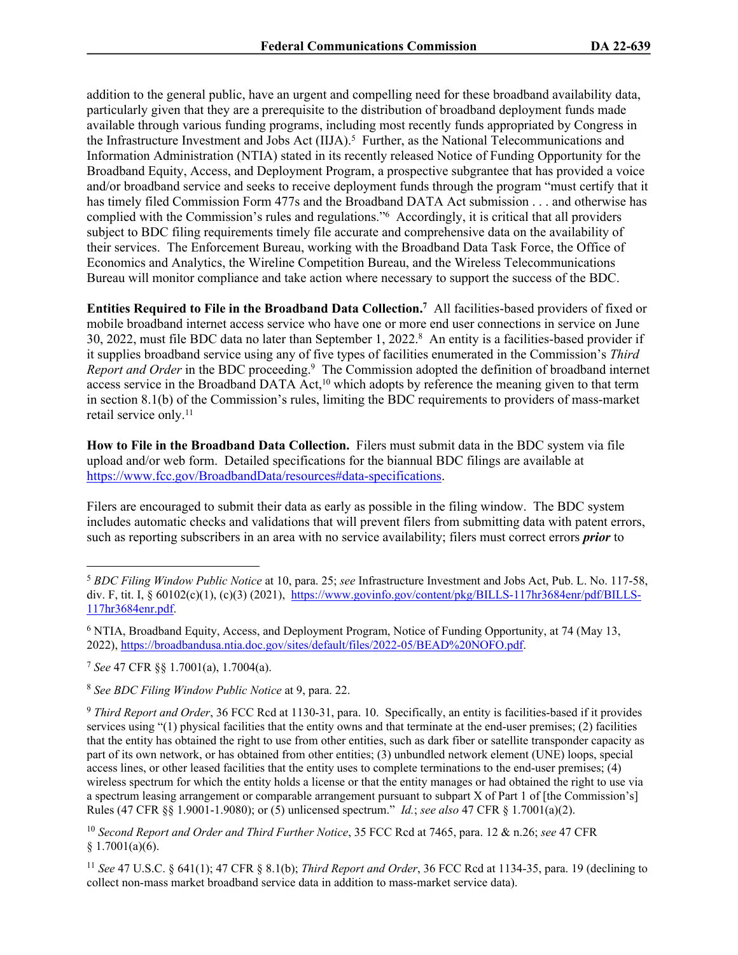addition to the general public, have an urgent and compelling need for these broadband availability data, particularly given that they are a prerequisite to the distribution of broadband deployment funds made available through various funding programs, including most recently funds appropriated by Congress in the Infrastructure Investment and Jobs Act (IIJA).<sup>5</sup> Further, as the National Telecommunications and Information Administration (NTIA) stated in its recently released Notice of Funding Opportunity for the Broadband Equity, Access, and Deployment Program, a prospective subgrantee that has provided a voice and/or broadband service and seeks to receive deployment funds through the program "must certify that it has timely filed Commission Form 477s and the Broadband DATA Act submission . . . and otherwise has complied with the Commission's rules and regulations."<sup>6</sup> Accordingly, it is critical that all providers subject to BDC filing requirements timely file accurate and comprehensive data on the availability of their services. The Enforcement Bureau, working with the Broadband Data Task Force, the Office of Economics and Analytics, the Wireline Competition Bureau, and the Wireless Telecommunications Bureau will monitor compliance and take action where necessary to support the success of the BDC.

**Entities Required to File in the Broadband Data Collection.<sup>7</sup>** All facilities-based providers of fixed or mobile broadband internet access service who have one or more end user connections in service on June 30, 2022, must file BDC data no later than September 1, 2022.<sup>8</sup> An entity is a facilities-based provider if it supplies broadband service using any of five types of facilities enumerated in the Commission's *Third*  Report and Order in the BDC proceeding.<sup>9</sup> The Commission adopted the definition of broadband internet access service in the Broadband DATA Act,<sup>10</sup> which adopts by reference the meaning given to that term in section 8.1(b) of the Commission's rules, limiting the BDC requirements to providers of mass-market retail service only.<sup>11</sup>

**How to File in the Broadband Data Collection.** Filers must submit data in the BDC system via file upload and/or web form. Detailed specifications for the biannual BDC filings are available at <https://www.fcc.gov/BroadbandData/resources#data-specifications>.

Filers are encouraged to submit their data as early as possible in the filing window. The BDC system includes automatic checks and validations that will prevent filers from submitting data with patent errors, such as reporting subscribers in an area with no service availability; filers must correct errors *prior* to

<sup>10</sup> *Second Report and Order and Third Further Notice*, 35 FCC Rcd at 7465, para. 12 & n.26; *see* 47 CFR  $$1.7001(a)(6).$ 

<sup>11</sup> *See* 47 U.S.C. § 641(1); 47 CFR § 8.1(b); *Third Report and Order*, 36 FCC Rcd at 1134-35, para. 19 (declining to collect non-mass market broadband service data in addition to mass-market service data).

<sup>5</sup> *BDC Filing Window Public Notice* at 10, para. 25; *see* Infrastructure Investment and Jobs Act, Pub. L. No. 117-58, div. F, tit. I,  $\frac{60102(c)(1)}{c(3)}$  (2021), [https://www.govinfo.gov/content/pkg/BILLS-117hr3684enr/pdf/BILLS-](https://www.govinfo.gov/content/pkg/BILLS-117hr3684enr/pdf/BILLS-117hr3684enr.pdf%20)[117hr3684enr.pdf.](https://www.govinfo.gov/content/pkg/BILLS-117hr3684enr/pdf/BILLS-117hr3684enr.pdf%20)

<sup>&</sup>lt;sup>6</sup> NTIA, Broadband Equity, Access, and Deployment Program, Notice of Funding Opportunity, at 74 (May 13, 2022),<https://broadbandusa.ntia.doc.gov/sites/default/files/2022-05/BEAD%20NOFO.pdf>.

<sup>7</sup> *See* 47 CFR §§ 1.7001(a), 1.7004(a).

<sup>8</sup> *See BDC Filing Window Public Notice* at 9, para. 22.

<sup>9</sup> *Third Report and Order*, 36 FCC Rcd at 1130-31, para. 10. Specifically, an entity is facilities-based if it provides services using "(1) physical facilities that the entity owns and that terminate at the end-user premises; (2) facilities that the entity has obtained the right to use from other entities, such as dark fiber or satellite transponder capacity as part of its own network, or has obtained from other entities; (3) unbundled network element (UNE) loops, special access lines, or other leased facilities that the entity uses to complete terminations to the end-user premises; (4) wireless spectrum for which the entity holds a license or that the entity manages or had obtained the right to use via a spectrum leasing arrangement or comparable arrangement pursuant to subpart X of Part 1 of [the Commission's] Rules (47 CFR §§ 1.9001-1.9080); or (5) unlicensed spectrum." *Id.*; *see also* 47 CFR § 1.7001(a)(2).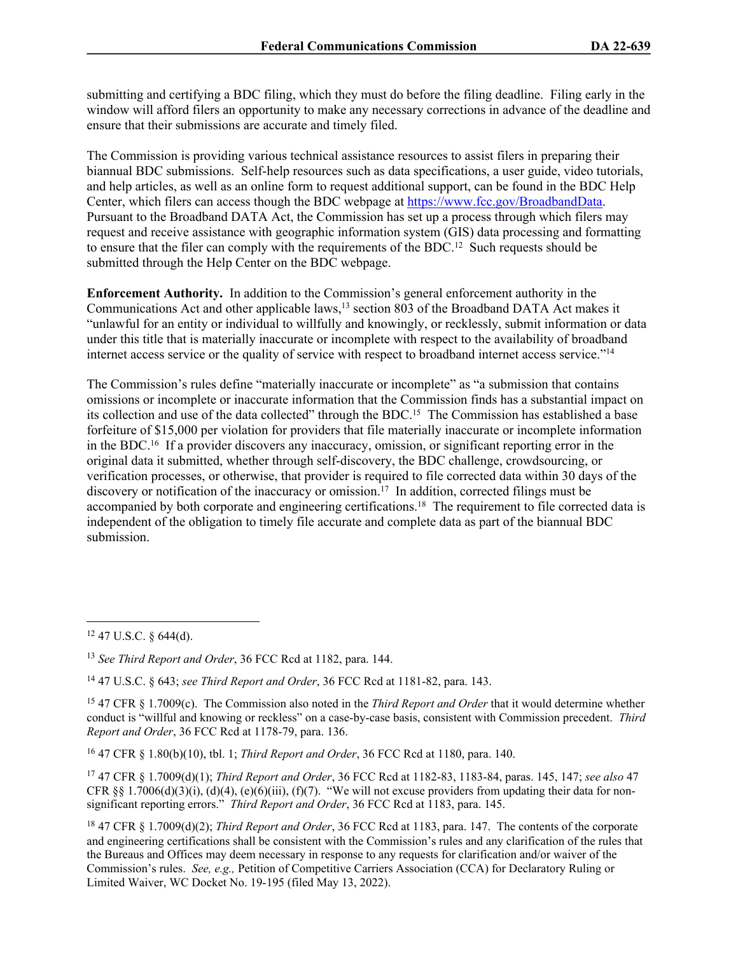submitting and certifying a BDC filing, which they must do before the filing deadline. Filing early in the window will afford filers an opportunity to make any necessary corrections in advance of the deadline and ensure that their submissions are accurate and timely filed.

The Commission is providing various technical assistance resources to assist filers in preparing their biannual BDC submissions. Self-help resources such as data specifications, a user guide, video tutorials, and help articles, as well as an online form to request additional support, can be found in the BDC Help Center, which filers can access though the BDC webpage at [https://www.fcc.gov/BroadbandData.](https://www.fcc.gov/BroadbandData) Pursuant to the Broadband DATA Act, the Commission has set up a process through which filers may request and receive assistance with geographic information system (GIS) data processing and formatting to ensure that the filer can comply with the requirements of the BDC.<sup>12</sup> Such requests should be submitted through the Help Center on the BDC webpage.

**Enforcement Authority.** In addition to the Commission's general enforcement authority in the Communications Act and other applicable laws,<sup>13</sup> section 803 of the Broadband DATA Act makes it "unlawful for an entity or individual to willfully and knowingly, or recklessly, submit information or data under this title that is materially inaccurate or incomplete with respect to the availability of broadband internet access service or the quality of service with respect to broadband internet access service."<sup>14</sup>

The Commission's rules define "materially inaccurate or incomplete" as "a submission that contains omissions or incomplete or inaccurate information that the Commission finds has a substantial impact on its collection and use of the data collected" through the BDC.<sup>15</sup> The Commission has established a base forfeiture of \$15,000 per violation for providers that file materially inaccurate or incomplete information in the BDC.<sup>16</sup> If a provider discovers any inaccuracy, omission, or significant reporting error in the original data it submitted, whether through self-discovery, the BDC challenge, crowdsourcing, or verification processes, or otherwise, that provider is required to file corrected data within 30 days of the discovery or notification of the inaccuracy or omission.<sup>17</sup> In addition, corrected filings must be accompanied by both corporate and engineering certifications.<sup>18</sup> The requirement to file corrected data is independent of the obligation to timely file accurate and complete data as part of the biannual BDC submission.

<sup>16</sup> 47 CFR § 1.80(b)(10), tbl. 1; *Third Report and Order*, 36 FCC Rcd at 1180, para. 140.

<sup>17</sup> 47 CFR § 1.7009(d)(1); *Third Report and Order*, 36 FCC Rcd at 1182-83, 1183-84, paras. 145, 147; *see also* 47 CFR §§ 1.7006(d)(3)(i), (d)(4), (e)(6)(iii), (f)(7). "We will not excuse providers from updating their data for nonsignificant reporting errors." *Third Report and Order*, 36 FCC Rcd at 1183, para. 145.

<sup>18</sup> 47 CFR § 1.7009(d)(2); *Third Report and Order*, 36 FCC Rcd at 1183, para. 147. The contents of the corporate and engineering certifications shall be consistent with the Commission's rules and any clarification of the rules that the Bureaus and Offices may deem necessary in response to any requests for clarification and/or waiver of the Commission's rules. *See, e.g.,* Petition of Competitive Carriers Association (CCA) for Declaratory Ruling or Limited Waiver, WC Docket No. 19-195 (filed May 13, 2022).

<sup>12</sup> 47 U.S.C. § 644(d).

<sup>13</sup> *See Third Report and Order*, 36 FCC Rcd at 1182, para. 144.

<sup>14</sup> 47 U.S.C. § 643; *see Third Report and Order*, 36 FCC Rcd at 1181-82, para. 143.

<sup>15</sup> 47 CFR § 1.7009(c). The Commission also noted in the *Third Report and Order* that it would determine whether conduct is "willful and knowing or reckless" on a case-by-case basis, consistent with Commission precedent. *Third Report and Order*, 36 FCC Rcd at 1178-79, para. 136.